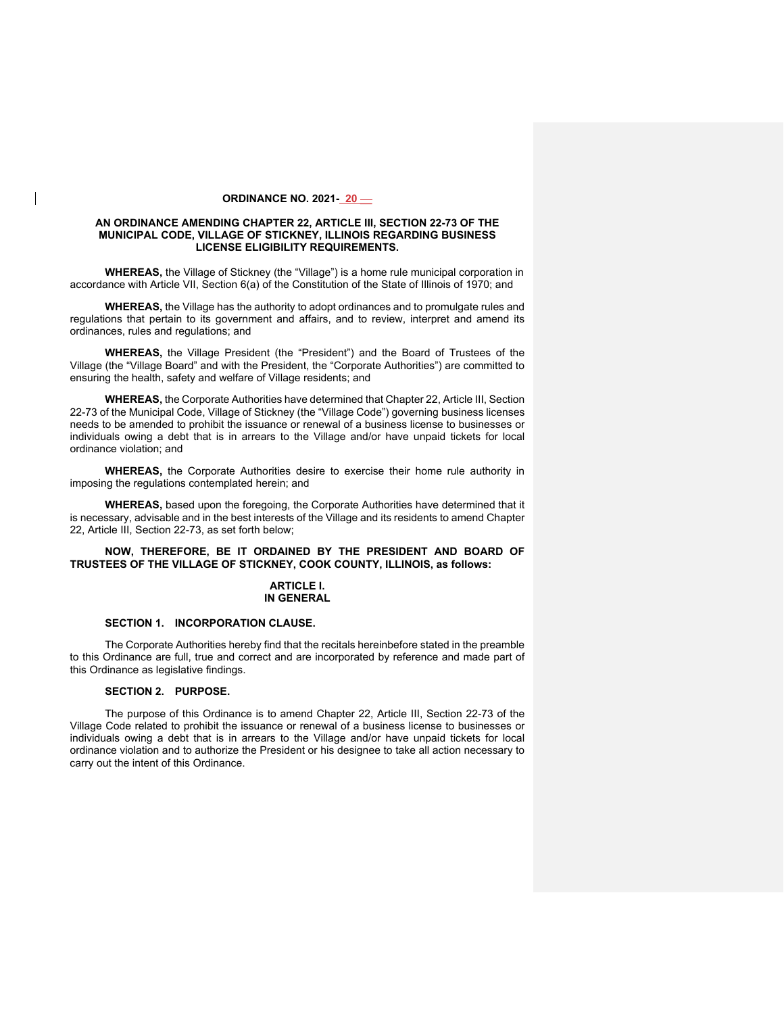#### **ORDINANCE NO. 2021- 20 \_\_**

### **AN ORDINANCE AMENDING CHAPTER 22, ARTICLE III, SECTION 22-73 OF THE MUNICIPAL CODE, VILLAGE OF STICKNEY, ILLINOIS REGARDING BUSINESS LICENSE ELIGIBILITY REQUIREMENTS.**

**WHEREAS,** the Village of Stickney (the "Village") is a home rule municipal corporation in accordance with Article VII, Section 6(a) of the Constitution of the State of Illinois of 1970; and

**WHEREAS,** the Village has the authority to adopt ordinances and to promulgate rules and regulations that pertain to its government and affairs, and to review, interpret and amend its ordinances, rules and regulations; and

**WHEREAS,** the Village President (the "President") and the Board of Trustees of the Village (the "Village Board" and with the President, the "Corporate Authorities") are committed to ensuring the health, safety and welfare of Village residents; and

**WHEREAS,** the Corporate Authorities have determined that Chapter 22, Article III, Section 22-73 of the Municipal Code, Village of Stickney (the "Village Code") governing business licenses needs to be amended to prohibit the issuance or renewal of a business license to businesses or individuals owing a debt that is in arrears to the Village and/or have unpaid tickets for local ordinance violation; and

**WHEREAS,** the Corporate Authorities desire to exercise their home rule authority in imposing the regulations contemplated herein; and

**WHEREAS,** based upon the foregoing, the Corporate Authorities have determined that it is necessary, advisable and in the best interests of the Village and its residents to amend Chapter 22, Article III, Section 22-73, as set forth below;

# **NOW, THEREFORE, BE IT ORDAINED BY THE PRESIDENT AND BOARD OF TRUSTEES OF THE VILLAGE OF STICKNEY, COOK COUNTY, ILLINOIS, as follows:**

# **ARTICLE I. IN GENERAL**

### **SECTION 1. INCORPORATION CLAUSE.**

The Corporate Authorities hereby find that the recitals hereinbefore stated in the preamble to this Ordinance are full, true and correct and are incorporated by reference and made part of this Ordinance as legislative findings.

# **SECTION 2. PURPOSE.**

The purpose of this Ordinance is to amend Chapter 22, Article III, Section 22-73 of the Village Code related to prohibit the issuance or renewal of a business license to businesses or individuals owing a debt that is in arrears to the Village and/or have unpaid tickets for local ordinance violation and to authorize the President or his designee to take all action necessary to carry out the intent of this Ordinance.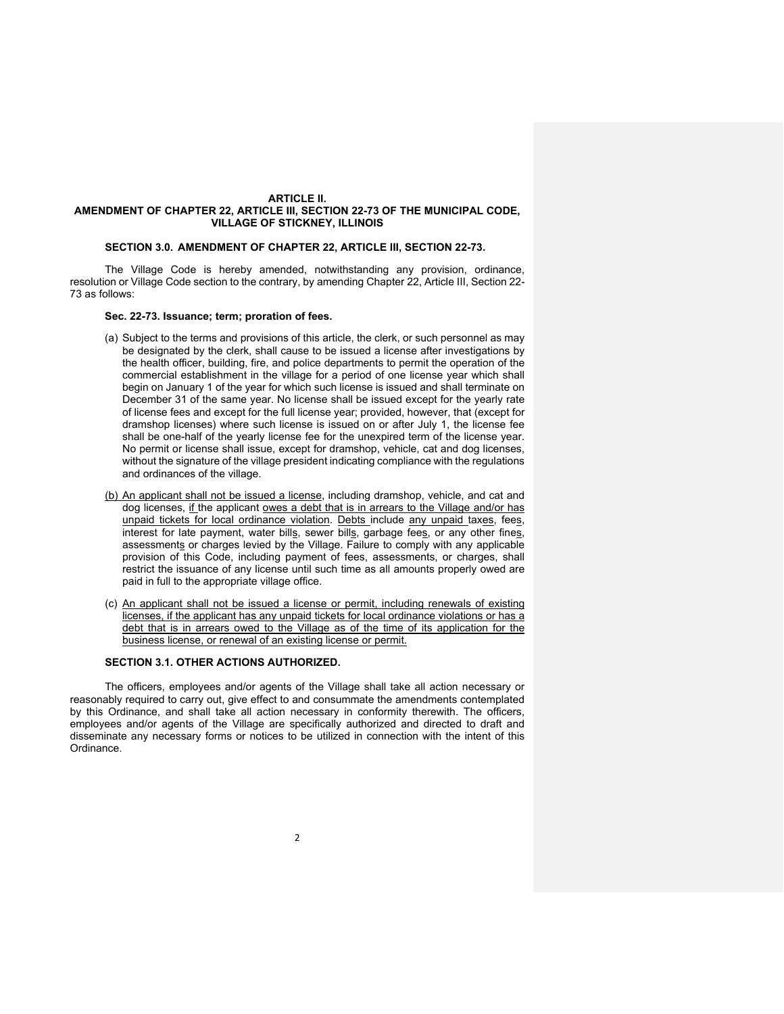### **ARTICLE II. AMENDMENT OF CHAPTER 22, ARTICLE III, SECTION 22-73 OF THE MUNICIPAL CODE, VILLAGE OF STICKNEY, ILLINOIS**

## **SECTION 3.0. AMENDMENT OF CHAPTER 22, ARTICLE III, SECTION 22-73.**

The Village Code is hereby amended, notwithstanding any provision, ordinance, resolution or Village Code section to the contrary, by amending Chapter 22, Article III, Section 22- 73 as follows:

## **Sec. 22-73. Issuance; term; proration of fees.**

- (a) Subject to the terms and provisions of this article, the clerk, or such personnel as may be designated by the clerk, shall cause to be issued a license after investigations by the health officer, building, fire, and police departments to permit the operation of the commercial establishment in the village for a period of one license year which shall begin on January 1 of the year for which such license is issued and shall terminate on December 31 of the same year. No license shall be issued except for the yearly rate of license fees and except for the full license year; provided, however, that (except for dramshop licenses) where such license is issued on or after July 1, the license fee shall be one-half of the yearly license fee for the unexpired term of the license year. No permit or license shall issue, except for dramshop, vehicle, cat and dog licenses, without the signature of the village president indicating compliance with the regulations and ordinances of the village.
- (b) An applicant shall not be issued a license, including dramshop, vehicle, and cat and dog licenses, if the applicant owes a debt that is in arrears to the Village and/or has unpaid tickets for local ordinance violation. Debts include any unpaid taxes, fees, interest for late payment, water bills, sewer bills, garbage fees, or any other fines, assessments or charges levied by the Village. Failure to comply with any applicable provision of this Code, including payment of fees, assessments, or charges, shall restrict the issuance of any license until such time as all amounts properly owed are paid in full to the appropriate village office.
- (c) An applicant shall not be issued a license or permit, including renewals of existing licenses, if the applicant has any unpaid tickets for local ordinance violations or has a debt that is in arrears owed to the Village as of the time of its application for the business license, or renewal of an existing license or permit.

# **SECTION 3.1. OTHER ACTIONS AUTHORIZED.**

The officers, employees and/or agents of the Village shall take all action necessary or reasonably required to carry out, give effect to and consummate the amendments contemplated by this Ordinance, and shall take all action necessary in conformity therewith. The officers, employees and/or agents of the Village are specifically authorized and directed to draft and disseminate any necessary forms or notices to be utilized in connection with the intent of this Ordinance.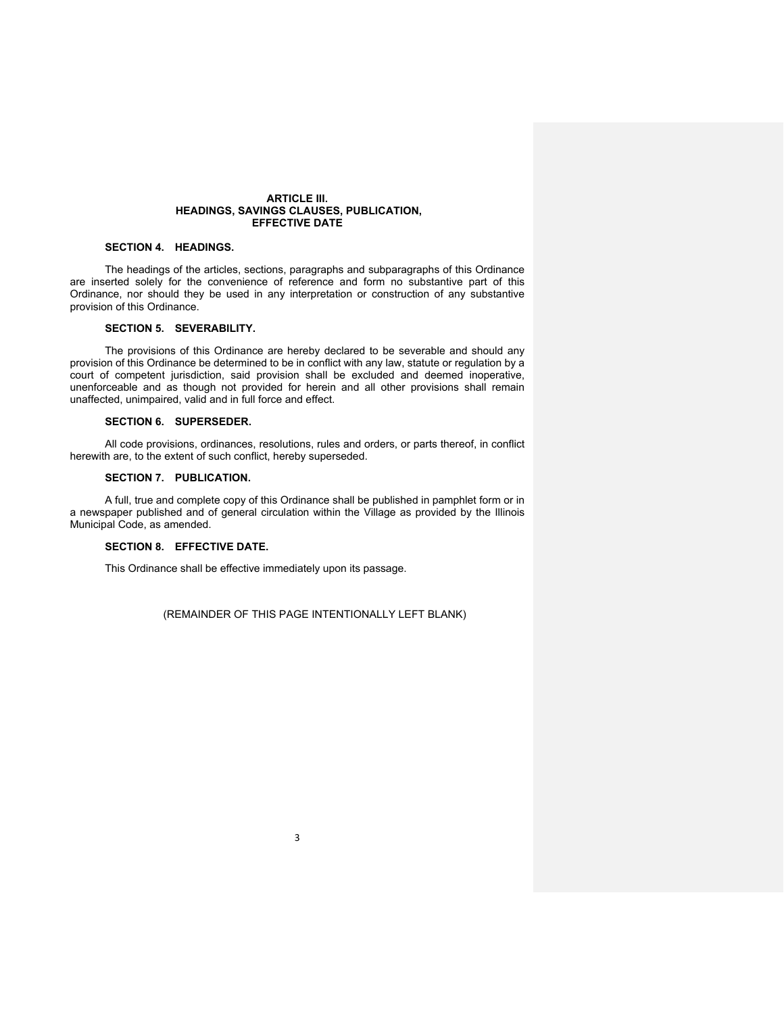#### **ARTICLE III. HEADINGS, SAVINGS CLAUSES, PUBLICATION, EFFECTIVE DATE**

# **SECTION 4. HEADINGS.**

The headings of the articles, sections, paragraphs and subparagraphs of this Ordinance are inserted solely for the convenience of reference and form no substantive part of this Ordinance, nor should they be used in any interpretation or construction of any substantive provision of this Ordinance.

# **SECTION 5. SEVERABILITY.**

The provisions of this Ordinance are hereby declared to be severable and should any provision of this Ordinance be determined to be in conflict with any law, statute or regulation by a court of competent jurisdiction, said provision shall be excluded and deemed inoperative, unenforceable and as though not provided for herein and all other provisions shall remain unaffected, unimpaired, valid and in full force and effect.

## **SECTION 6. SUPERSEDER.**

All code provisions, ordinances, resolutions, rules and orders, or parts thereof, in conflict herewith are, to the extent of such conflict, hereby superseded.

## **SECTION 7. PUBLICATION.**

A full, true and complete copy of this Ordinance shall be published in pamphlet form or in a newspaper published and of general circulation within the Village as provided by the Illinois Municipal Code, as amended.

# **SECTION 8. EFFECTIVE DATE.**

This Ordinance shall be effective immediately upon its passage.

(REMAINDER OF THIS PAGE INTENTIONALLY LEFT BLANK)